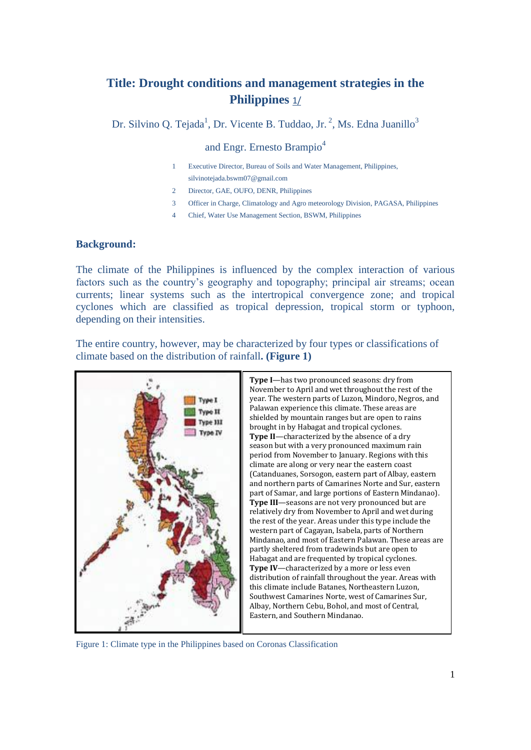# **Title: Drought conditions and management strategies in the Philippines** 1/

Dr. Silvino Q. Tejada<sup>1</sup>, Dr. Vicente B. Tuddao, Jr.<sup>2</sup>, Ms. Edna Juanillo<sup>3</sup>

and Engr. Ernesto Brampio<sup>4</sup>

- 1 Executive Director, Bureau of Soils and Water Management, Philippines, silvinotejada.bswm07@gmail.com
- 2 Director, GAE, OUFO, DENR, Philippines
- 3 Officer in Charge, Climatology and Agro meteorology Division, PAGASA, Philippines
- 4 Chief, Water Use Management Section, BSWM, Philippines

## **Background:**

The climate of the Philippines is influenced by the complex interaction of various factors such as the country's geography and topography; principal air streams; ocean currents; linear systems such as the intertropical convergence zone; and tropical cyclones which are classified as tropical depression, tropical storm or typhoon, depending on their intensities.

The entire country, however, may be characterized by four types or classifications of climate based on the distribution of rainfall**. (Figure 1)**



**Type I**—has two pronounced seasons: dry from November to April and wet throughout the rest of the year. The western parts of Luzon, Mindoro, Negros, and Palawan experience this climate. These areas are shielded by mountain ranges but are open to rains brought in by Habagat and tropical cyclones. **Type II**—characterized by the absence of a dry season but with a very pronounced maximum rain period from November to January. Regions with this climate are along or very near the eastern coast (Catanduanes, Sorsogon, eastern part of Albay, eastern and northern parts of Camarines Norte and Sur, eastern part of Samar, and large portions of Eastern Mindanao). **Type III**—seasons are not very pronounced but are relatively dry from November to April and wet during the rest of the year. Areas under this type include the western part of Cagayan, Isabela, parts of Northern Mindanao, and most of Eastern Palawan. These areas are partly sheltered from tradewinds but are open to Habagat and are frequented by tropical cyclones. **Type IV**—characterized by a more or less even distribution of rainfall throughout the year. Areas with this climate include Batanes, Northeastern Luzon, Southwest Camarines Norte, west of Camarines Sur, Albay, Northern Cebu, Bohol, and most of Central, Eastern, and Southern Mindanao.

Figure 1: Climate type in the Philippines based on Coronas Classification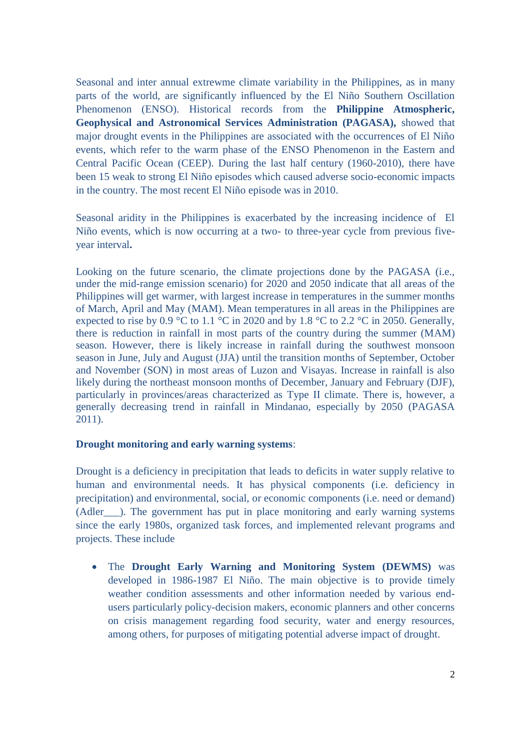Seasonal and inter annual extrewme climate variability in the Philippines, as in many parts of the world, are significantly influenced by the El Niño Southern Oscillation Phenomenon (ENSO). Historical records from the **Philippine Atmospheric, Geophysical and Astronomical Services Administration (PAGASA),** showed that major drought events in the Philippines are associated with the occurrences of El Niño events, which refer to the warm phase of the ENSO Phenomenon in the Eastern and Central Pacific Ocean (CEEP). During the last half century (1960-2010), there have been 15 weak to strong El Niño episodes which caused adverse socio-economic impacts in the country. The most recent El Niño episode was in 2010.

Seasonal aridity in the Philippines is exacerbated by the increasing incidence of El Niño events, which is now occurring at a two- to three-year cycle from previous fiveyear interval**.**

Looking on the future scenario, the climate projections done by the PAGASA (i.e., under the mid-range emission scenario) for 2020 and 2050 indicate that all areas of the Philippines will get warmer, with largest increase in temperatures in the summer months of March, April and May (MAM). Mean temperatures in all areas in the Philippines are expected to rise by 0.9 °C to 1.1 °C in 2020 and by 1.8 °C to 2.2 °C in 2050. Generally, there is reduction in rainfall in most parts of the country during the summer (MAM) season. However, there is likely increase in rainfall during the southwest monsoon season in June, July and August (JJA) until the transition months of September, October and November (SON) in most areas of Luzon and Visayas. Increase in rainfall is also likely during the northeast monsoon months of December, January and February (DJF), particularly in provinces/areas characterized as Type II climate. There is, however, a generally decreasing trend in rainfall in Mindanao, especially by 2050 (PAGASA 2011).

### **Drought monitoring and early warning systems**:

Drought is a deficiency in precipitation that leads to deficits in water supply relative to human and environmental needs. It has physical components (i.e. deficiency in precipitation) and environmental, social, or economic components (i.e. need or demand) (Adler\_\_\_). The government has put in place monitoring and early warning systems since the early 1980s, organized task forces, and implemented relevant programs and projects. These include

 The **Drought Early Warning and Monitoring System (DEWMS)** was developed in 1986-1987 El Niño. The main objective is to provide timely weather condition assessments and other information needed by various endusers particularly policy-decision makers, economic planners and other concerns on crisis management regarding food security, water and energy resources, among others, for purposes of mitigating potential adverse impact of drought.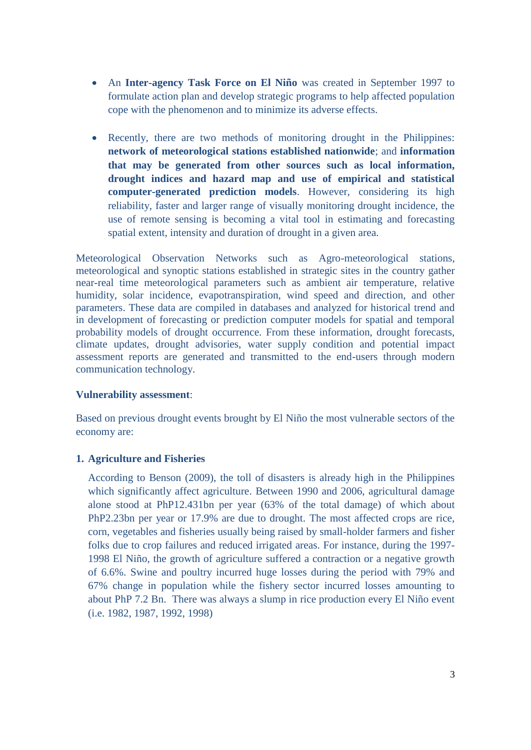- An **Inter-agency Task Force on El Niño** was created in September 1997 to formulate action plan and develop strategic programs to help affected population cope with the phenomenon and to minimize its adverse effects.
- Recently, there are two methods of monitoring drought in the Philippines: **network of meteorological stations established nationwide**; and **information that may be generated from other sources such as local information, drought indices and hazard map and use of empirical and statistical computer-generated prediction models**. However, considering its high reliability, faster and larger range of visually monitoring drought incidence, the use of remote sensing is becoming a vital tool in estimating and forecasting spatial extent, intensity and duration of drought in a given area.

Meteorological Observation Networks such as Agro-meteorological stations, meteorological and synoptic stations established in strategic sites in the country gather near-real time meteorological parameters such as ambient air temperature, relative humidity, solar incidence, evapotranspiration, wind speed and direction, and other parameters. These data are compiled in databases and analyzed for historical trend and in development of forecasting or prediction computer models for spatial and temporal probability models of drought occurrence. From these information, drought forecasts, climate updates, drought advisories, water supply condition and potential impact assessment reports are generated and transmitted to the end-users through modern communication technology.

# **Vulnerability assessment**:

Based on previous drought events brought by El Niño the most vulnerable sectors of the economy are:

# **1. Agriculture and Fisheries**

According to Benson (2009), the toll of disasters is already high in the Philippines which significantly affect agriculture. Between 1990 and 2006, agricultural damage alone stood at PhP12.431bn per year (63% of the total damage) of which about PhP2.23bn per year or 17.9% are due to drought. The most affected crops are rice, corn, vegetables and fisheries usually being raised by small-holder farmers and fisher folks due to crop failures and reduced irrigated areas. For instance, during the 1997- 1998 El Niño, the growth of agriculture suffered a contraction or a negative growth of 6.6%. Swine and poultry incurred huge losses during the period with 79% and 67% change in population while the fishery sector incurred losses amounting to about PhP 7.2 Bn. There was always a slump in rice production every El Niño event (i.e. 1982, 1987, 1992, 1998)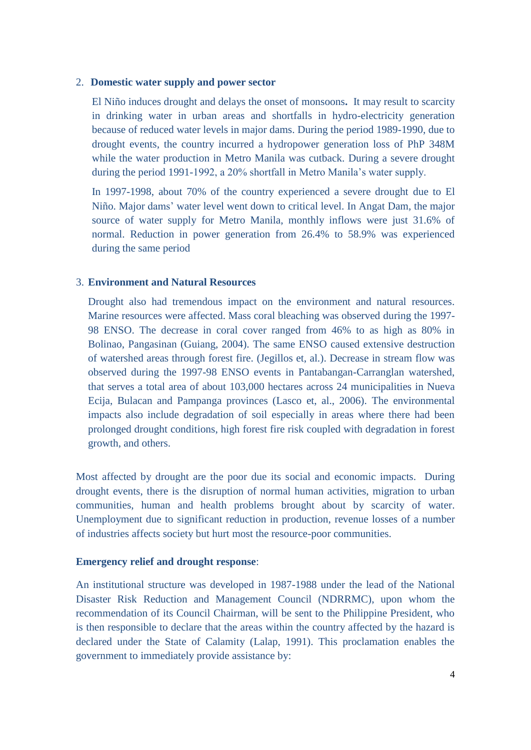### 2. **Domestic water supply and power sector**

El Niño induces drought and delays the onset of monsoons**.** It may result to scarcity in drinking water in urban areas and shortfalls in hydro-electricity generation because of reduced water levels in major dams. During the period 1989-1990, due to drought events, the country incurred a hydropower generation loss of PhP 348M while the water production in Metro Manila was cutback. During a severe drought during the period 1991-1992, a 20% shortfall in Metro Manila's water supply.

In 1997-1998, about 70% of the country experienced a severe drought due to El Niño. Major dams' water level went down to critical level. In Angat Dam, the major source of water supply for Metro Manila, monthly inflows were just 31.6% of normal. Reduction in power generation from 26.4% to 58.9% was experienced during the same period

#### 3. **Environment and Natural Resources**

Drought also had tremendous impact on the environment and natural resources. Marine resources were affected. Mass coral bleaching was observed during the 1997- 98 ENSO. The decrease in coral cover ranged from 46% to as high as 80% in Bolinao, Pangasinan (Guiang, 2004). The same ENSO caused extensive destruction of watershed areas through forest fire. (Jegillos et, al.). Decrease in stream flow was observed during the 1997-98 ENSO events in Pantabangan-Carranglan watershed, that serves a total area of about 103,000 hectares across 24 municipalities in Nueva Ecija, Bulacan and Pampanga provinces (Lasco et, al., 2006). The environmental impacts also include degradation of soil especially in areas where there had been prolonged drought conditions, high forest fire risk coupled with degradation in forest growth, and others.

Most affected by drought are the poor due its social and economic impacts. During drought events, there is the disruption of normal human activities, migration to urban communities, human and health problems brought about by scarcity of water. Unemployment due to significant reduction in production, revenue losses of a number of industries affects society but hurt most the resource-poor communities.

# **Emergency relief and drought response**:

An institutional structure was developed in 1987-1988 under the lead of the National Disaster Risk Reduction and Management Council (NDRRMC), upon whom the recommendation of its Council Chairman, will be sent to the Philippine President, who is then responsible to declare that the areas within the country affected by the hazard is declared under the State of Calamity (Lalap, 1991). This proclamation enables the government to immediately provide assistance by: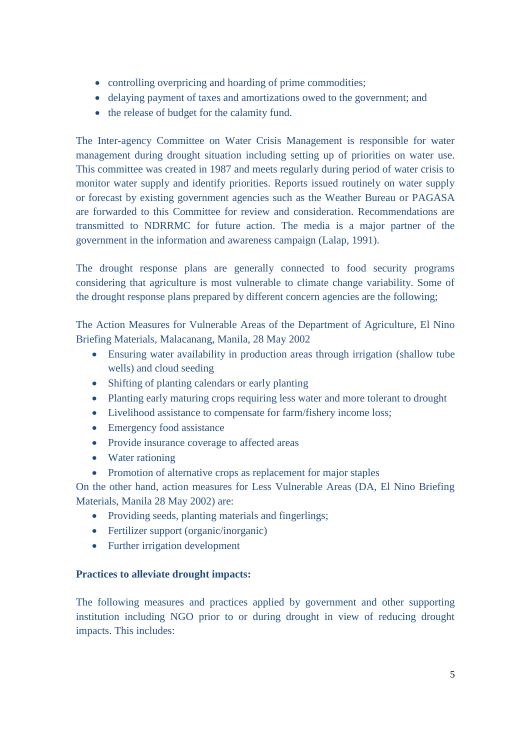- controlling overpricing and hoarding of prime commodities;
- delaying payment of taxes and amortizations owed to the government; and
- the release of budget for the calamity fund.

The Inter-agency Committee on Water Crisis Management is responsible for water management during drought situation including setting up of priorities on water use. This committee was created in 1987 and meets regularly during period of water crisis to monitor water supply and identify priorities. Reports issued routinely on water supply or forecast by existing government agencies such as the Weather Bureau or PAGASA are forwarded to this Committee for review and consideration. Recommendations are transmitted to NDRRMC for future action. The media is a major partner of the government in the information and awareness campaign (Lalap, 1991).

The drought response plans are generally connected to food security programs considering that agriculture is most vulnerable to climate change variability. Some of the drought response plans prepared by different concern agencies are the following;

The Action Measures for Vulnerable Areas of the Department of Agriculture, El Nino Briefing Materials, Malacanang, Manila, 28 May 2002

- Ensuring water availability in production areas through irrigation (shallow tube wells) and cloud seeding
- Shifting of planting calendars or early planting
- Planting early maturing crops requiring less water and more tolerant to drought
- Livelihood assistance to compensate for farm/fishery income loss;
- Emergency food assistance
- Provide insurance coverage to affected areas
- Water rationing
- Promotion of alternative crops as replacement for major staples

On the other hand, action measures for Less Vulnerable Areas (DA, El Nino Briefing Materials, Manila 28 May 2002) are:

- Providing seeds, planting materials and fingerlings;
- Fertilizer support (organic/inorganic)
- Further irrigation development

# **Practices to alleviate drought impacts:**

The following measures and practices applied by government and other supporting institution including NGO prior to or during drought in view of reducing drought impacts. This includes: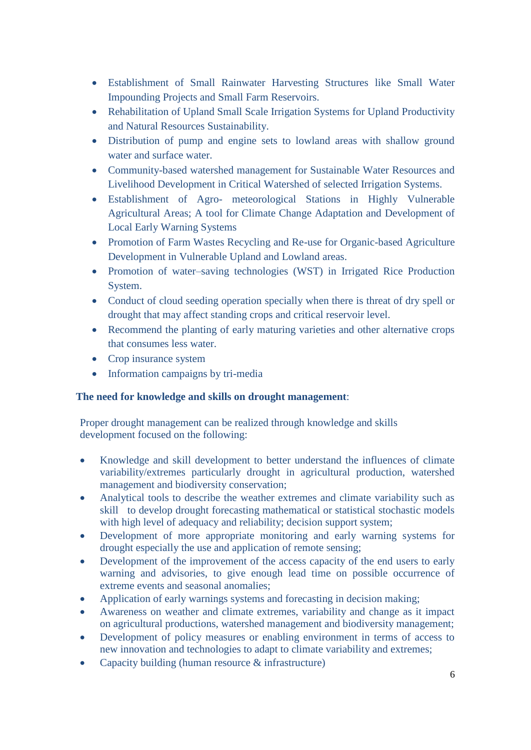- Establishment of Small Rainwater Harvesting Structures like Small Water Impounding Projects and Small Farm Reservoirs.
- Rehabilitation of Upland Small Scale Irrigation Systems for Upland Productivity and Natural Resources Sustainability.
- Distribution of pump and engine sets to lowland areas with shallow ground water and surface water.
- Community-based watershed management for Sustainable Water Resources and Livelihood Development in Critical Watershed of selected Irrigation Systems.
- Establishment of Agro- meteorological Stations in Highly Vulnerable Agricultural Areas; A tool for Climate Change Adaptation and Development of Local Early Warning Systems
- Promotion of Farm Wastes Recycling and Re-use for Organic-based Agriculture Development in Vulnerable Upland and Lowland areas.
- Promotion of water–saving technologies (WST) in Irrigated Rice Production System.
- Conduct of cloud seeding operation specially when there is threat of dry spell or drought that may affect standing crops and critical reservoir level.
- Recommend the planting of early maturing varieties and other alternative crops that consumes less water.
- Crop insurance system
- Information campaigns by tri-media

# **The need for knowledge and skills on drought management**:

Proper drought management can be realized through knowledge and skills development focused on the following:

- Knowledge and skill development to better understand the influences of climate variability/extremes particularly drought in agricultural production, watershed management and biodiversity conservation;
- Analytical tools to describe the weather extremes and climate variability such as skill to develop drought forecasting mathematical or statistical stochastic models with high level of adequacy and reliability; decision support system;
- Development of more appropriate monitoring and early warning systems for drought especially the use and application of remote sensing;
- Development of the improvement of the access capacity of the end users to early warning and advisories, to give enough lead time on possible occurrence of extreme events and seasonal anomalies;
- Application of early warnings systems and forecasting in decision making;
- Awareness on weather and climate extremes, variability and change as it impact on agricultural productions, watershed management and biodiversity management;
- Development of policy measures or enabling environment in terms of access to new innovation and technologies to adapt to climate variability and extremes;
- Capacity building (human resource & infrastructure)